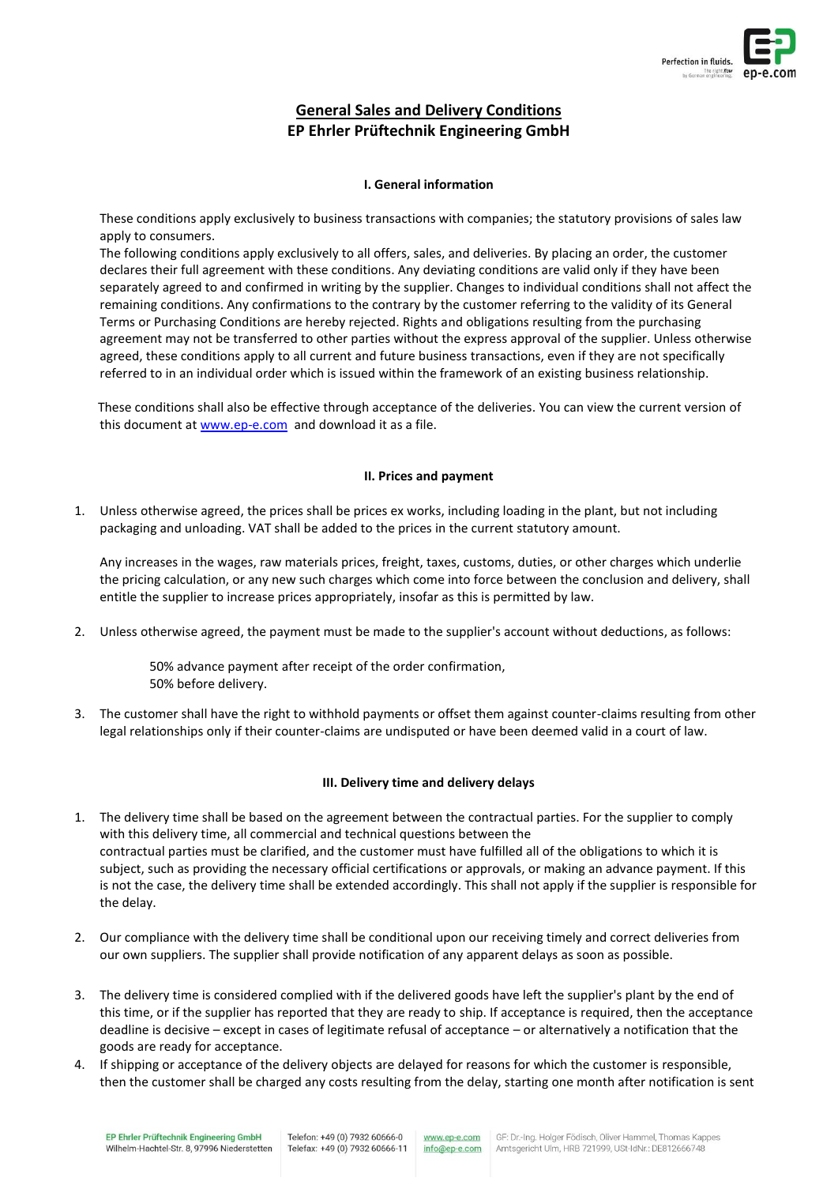

# **General Sales and Delivery Conditions EP Ehrler Prüftechnik Engineering GmbH**

# **I. General information**

These conditions apply exclusively to business transactions with companies; the statutory provisions of sales law apply to consumers.

The following conditions apply exclusively to all offers, sales, and deliveries. By placing an order, the customer declares their full agreement with these conditions. Any deviating conditions are valid only if they have been separately agreed to and confirmed in writing by the supplier. Changes to individual conditions shall not affect the remaining conditions. Any confirmations to the contrary by the customer referring to the validity of its General Terms or Purchasing Conditions are hereby rejected. Rights and obligations resulting from the purchasing agreement may not be transferred to other parties without the express approval of the supplier. Unless otherwise agreed, these conditions apply to all current and future business transactions, even if they are not specifically referred to in an individual order which is issued within the framework of an existing business relationship.

These conditions shall also be effective through acceptance of the deliveries. You can view the current version of this document a[t www.ep-e.com](http://www.ep-e.com/) and download it as a file.

## **II. Prices and payment**

1. Unless otherwise agreed, the prices shall be prices ex works, including loading in the plant, but not including packaging and unloading. VAT shall be added to the prices in the current statutory amount.

Any increases in the wages, raw materials prices, freight, taxes, customs, duties, or other charges which underlie the pricing calculation, or any new such charges which come into force between the conclusion and delivery, shall entitle the supplier to increase prices appropriately, insofar as this is permitted by law.

2. Unless otherwise agreed, the payment must be made to the supplier's account without deductions, as follows:

50% advance payment after receipt of the order confirmation, 50% before delivery.

3. The customer shall have the right to withhold payments or offset them against counter-claims resulting from other legal relationships only if their counter-claims are undisputed or have been deemed valid in a court of law.

# **III. Delivery time and delivery delays**

- 1. The delivery time shall be based on the agreement between the contractual parties. For the supplier to comply with this delivery time, all commercial and technical questions between the contractual parties must be clarified, and the customer must have fulfilled all of the obligations to which it is subject, such as providing the necessary official certifications or approvals, or making an advance payment. If this is not the case, the delivery time shall be extended accordingly. This shall not apply if the supplier is responsible for the delay.
- 2. Our compliance with the delivery time shall be conditional upon our receiving timely and correct deliveries from our own suppliers. The supplier shall provide notification of any apparent delays as soon as possible.
- 3. The delivery time is considered complied with if the delivered goods have left the supplier's plant by the end of this time, or if the supplier has reported that they are ready to ship. If acceptance is required, then the acceptance deadline is decisive – except in cases of legitimate refusal of acceptance – or alternatively a notification that the goods are ready for acceptance.
- 4. If shipping or acceptance of the delivery objects are delayed for reasons for which the customer is responsible, then the customer shall be charged any costs resulting from the delay, starting one month after notification is sent

www.ep-e.com info@ep-e.com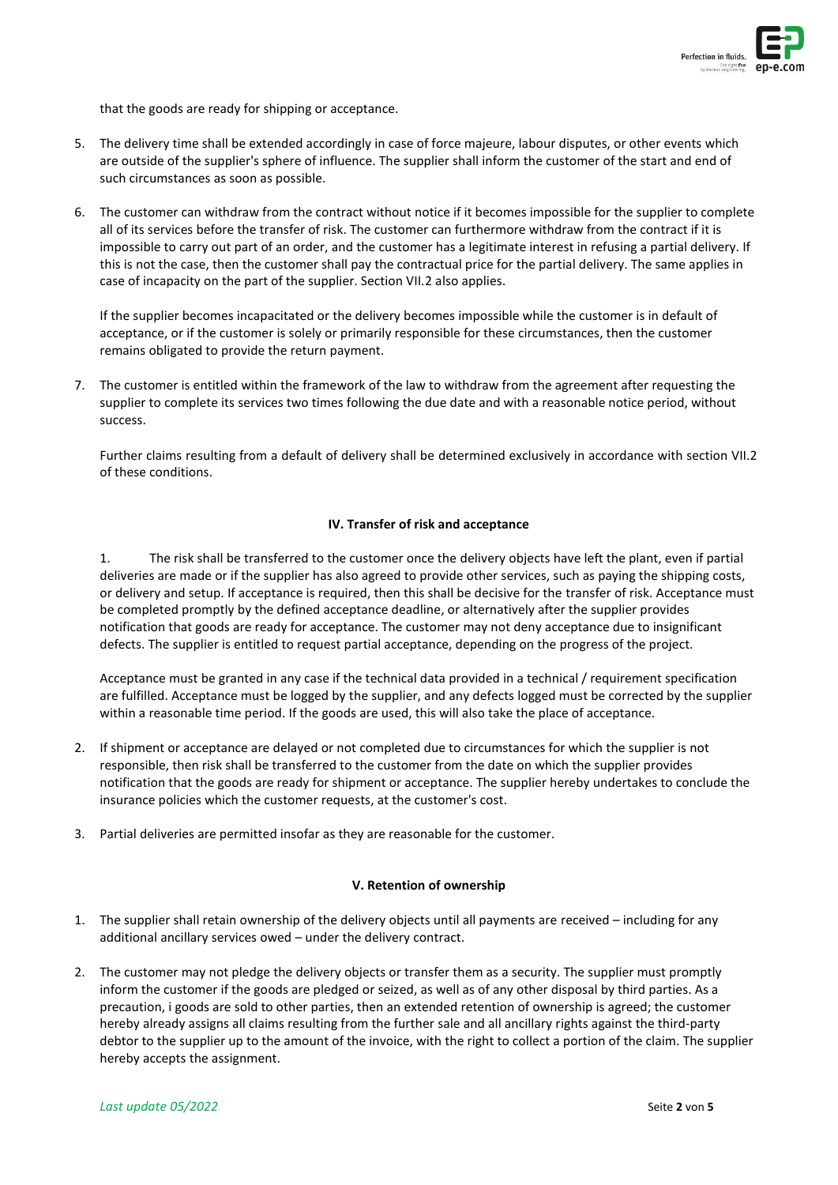

that the goods are ready for shipping or acceptance.

- 5. The delivery time shall be extended accordingly in case of force majeure, labour disputes, or other events which are outside of the supplier's sphere of influence. The supplier shall inform the customer of the start and end of such circumstances as soon as possible.
- 6. The customer can withdraw from the contract without notice if it becomes impossible for the supplier to complete all of its services before the transfer of risk. The customer can furthermore withdraw from the contract if it is impossible to carry out part of an order, and the customer has a legitimate interest in refusing a partial delivery. If this is not the case, then the customer shall pay the contractual price for the partial delivery. The same applies in case of incapacity on the part of the supplier. Section VII.2 also applies.

If the supplier becomes incapacitated or the delivery becomes impossible while the customer is in default of acceptance, or if the customer is solely or primarily responsible for these circumstances, then the customer remains obligated to provide the return payment.

7. The customer is entitled within the framework of the law to withdraw from the agreement after requesting the supplier to complete its services two times following the due date and with a reasonable notice period, without success.

Further claims resulting from a default of delivery shall be determined exclusively in accordance with section VII.2 of these conditions.

## **IV. Transfer of risk and acceptance**

1. The risk shall be transferred to the customer once the delivery objects have left the plant, even if partial deliveries are made or if the supplier has also agreed to provide other services, such as paying the shipping costs, or delivery and setup. If acceptance is required, then this shall be decisive for the transfer of risk. Acceptance must be completed promptly by the defined acceptance deadline, or alternatively after the supplier provides notification that goods are ready for acceptance. The customer may not deny acceptance due to insignificant defects. The supplier is entitled to request partial acceptance, depending on the progress of the project.

Acceptance must be granted in any case if the technical data provided in a technical / requirement specification are fulfilled. Acceptance must be logged by the supplier, and any defects logged must be corrected by the supplier within a reasonable time period. If the goods are used, this will also take the place of acceptance.

- 2. If shipment or acceptance are delayed or not completed due to circumstances for which the supplier is not responsible, then risk shall be transferred to the customer from the date on which the supplier provides notification that the goods are ready for shipment or acceptance. The supplier hereby undertakes to conclude the insurance policies which the customer requests, at the customer's cost.
- 3. Partial deliveries are permitted insofar as they are reasonable for the customer.

## **V. Retention of ownership**

- 1. The supplier shall retain ownership of the delivery objects until all payments are received including for any additional ancillary services owed – under the delivery contract.
- 2. The customer may not pledge the delivery objects or transfer them as a security. The supplier must promptly inform the customer if the goods are pledged or seized, as well as of any other disposal by third parties. As a precaution, i goods are sold to other parties, then an extended retention of ownership is agreed; the customer hereby already assigns all claims resulting from the further sale and all ancillary rights against the third-party debtor to the supplier up to the amount of the invoice, with the right to collect a portion of the claim. The supplier hereby accepts the assignment.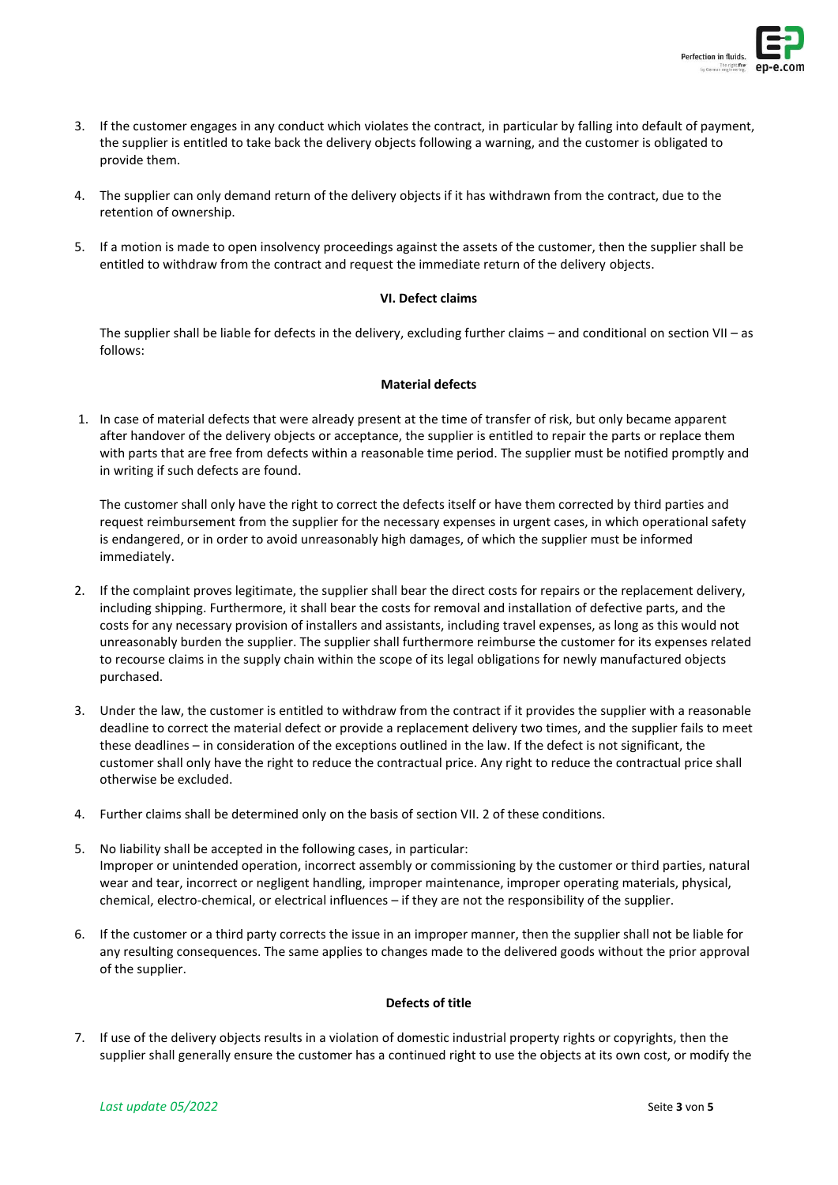

- 3. If the customer engages in any conduct which violates the contract, in particular by falling into default of payment, the supplier is entitled to take back the delivery objects following a warning, and the customer is obligated to provide them.
- 4. The supplier can only demand return of the delivery objects if it has withdrawn from the contract, due to the retention of ownership.
- 5. If a motion is made to open insolvency proceedings against the assets of the customer, then the supplier shall be entitled to withdraw from the contract and request the immediate return of the delivery objects.

## **VI. Defect claims**

The supplier shall be liable for defects in the delivery, excluding further claims – and conditional on section VII – as follows:

## **Material defects**

1. In case of material defects that were already present at the time of transfer of risk, but only became apparent after handover of the delivery objects or acceptance, the supplier is entitled to repair the parts or replace them with parts that are free from defects within a reasonable time period. The supplier must be notified promptly and in writing if such defects are found.

The customer shall only have the right to correct the defects itself or have them corrected by third parties and request reimbursement from the supplier for the necessary expenses in urgent cases, in which operational safety is endangered, or in order to avoid unreasonably high damages, of which the supplier must be informed immediately.

- 2. If the complaint proves legitimate, the supplier shall bear the direct costs for repairs or the replacement delivery, including shipping. Furthermore, it shall bear the costs for removal and installation of defective parts, and the costs for any necessary provision of installers and assistants, including travel expenses, as long as this would not unreasonably burden the supplier. The supplier shall furthermore reimburse the customer for its expenses related to recourse claims in the supply chain within the scope of its legal obligations for newly manufactured objects purchased.
- 3. Under the law, the customer is entitled to withdraw from the contract if it provides the supplier with a reasonable deadline to correct the material defect or provide a replacement delivery two times, and the supplier fails to meet these deadlines – in consideration of the exceptions outlined in the law. If the defect is not significant, the customer shall only have the right to reduce the contractual price. Any right to reduce the contractual price shall otherwise be excluded.
- 4. Further claims shall be determined only on the basis of section VII. 2 of these conditions.
- 5. No liability shall be accepted in the following cases, in particular: Improper or unintended operation, incorrect assembly or commissioning by the customer or third parties, natural wear and tear, incorrect or negligent handling, improper maintenance, improper operating materials, physical, chemical, electro-chemical, or electrical influences – if they are not the responsibility of the supplier.
- 6. If the customer or a third party corrects the issue in an improper manner, then the supplier shall not be liable for any resulting consequences. The same applies to changes made to the delivered goods without the prior approval of the supplier.

## **Defects of title**

7. If use of the delivery objects results in a violation of domestic industrial property rights or copyrights, then the supplier shall generally ensure the customer has a continued right to use the objects at its own cost, or modify the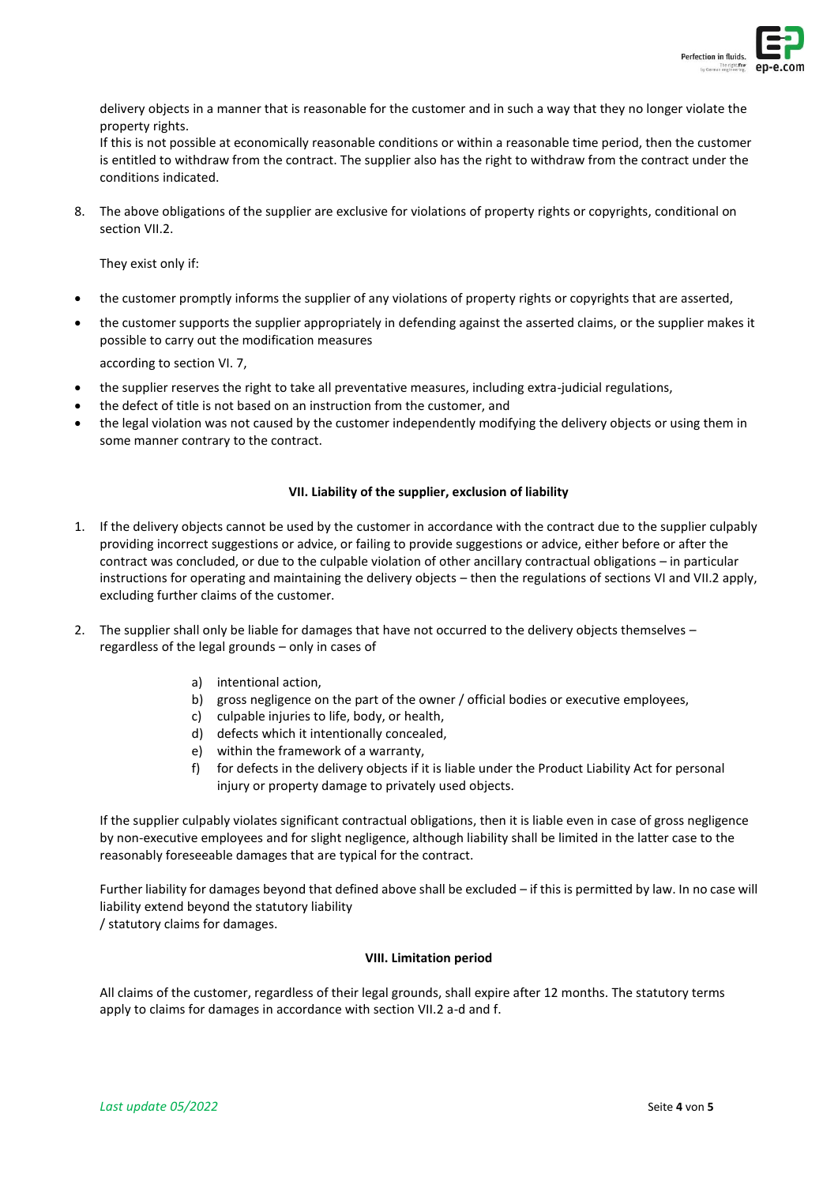

delivery objects in a manner that is reasonable for the customer and in such a way that they no longer violate the property rights.

If this is not possible at economically reasonable conditions or within a reasonable time period, then the customer is entitled to withdraw from the contract. The supplier also has the right to withdraw from the contract under the conditions indicated.

8. The above obligations of the supplier are exclusive for violations of property rights or copyrights, conditional on section VII.2.

They exist only if:

- the customer promptly informs the supplier of any violations of property rights or copyrights that are asserted,
- the customer supports the supplier appropriately in defending against the asserted claims, or the supplier makes it possible to carry out the modification measures

according to section VI. 7,

- the supplier reserves the right to take all preventative measures, including extra-judicial regulations,
- the defect of title is not based on an instruction from the customer, and
- the legal violation was not caused by the customer independently modifying the delivery objects or using them in some manner contrary to the contract.

## **VII. Liability of the supplier, exclusion of liability**

- 1. If the delivery objects cannot be used by the customer in accordance with the contract due to the supplier culpably providing incorrect suggestions or advice, or failing to provide suggestions or advice, either before or after the contract was concluded, or due to the culpable violation of other ancillary contractual obligations – in particular instructions for operating and maintaining the delivery objects – then the regulations of sections VI and VII.2 apply, excluding further claims of the customer.
- 2. The supplier shall only be liable for damages that have not occurred to the delivery objects themselves regardless of the legal grounds – only in cases of
	- a) intentional action,
	- b) gross negligence on the part of the owner / official bodies or executive employees,
	- c) culpable injuries to life, body, or health,
	- d) defects which it intentionally concealed,
	- e) within the framework of a warranty,
	- f) for defects in the delivery objects if it is liable under the Product Liability Act for personal injury or property damage to privately used objects.

If the supplier culpably violates significant contractual obligations, then it is liable even in case of gross negligence by non-executive employees and for slight negligence, although liability shall be limited in the latter case to the reasonably foreseeable damages that are typical for the contract.

Further liability for damages beyond that defined above shall be excluded – if this is permitted by law. In no case will liability extend beyond the statutory liability

/ statutory claims for damages.

## **VIII. Limitation period**

All claims of the customer, regardless of their legal grounds, shall expire after 12 months. The statutory terms apply to claims for damages in accordance with section VII.2 a-d and f.